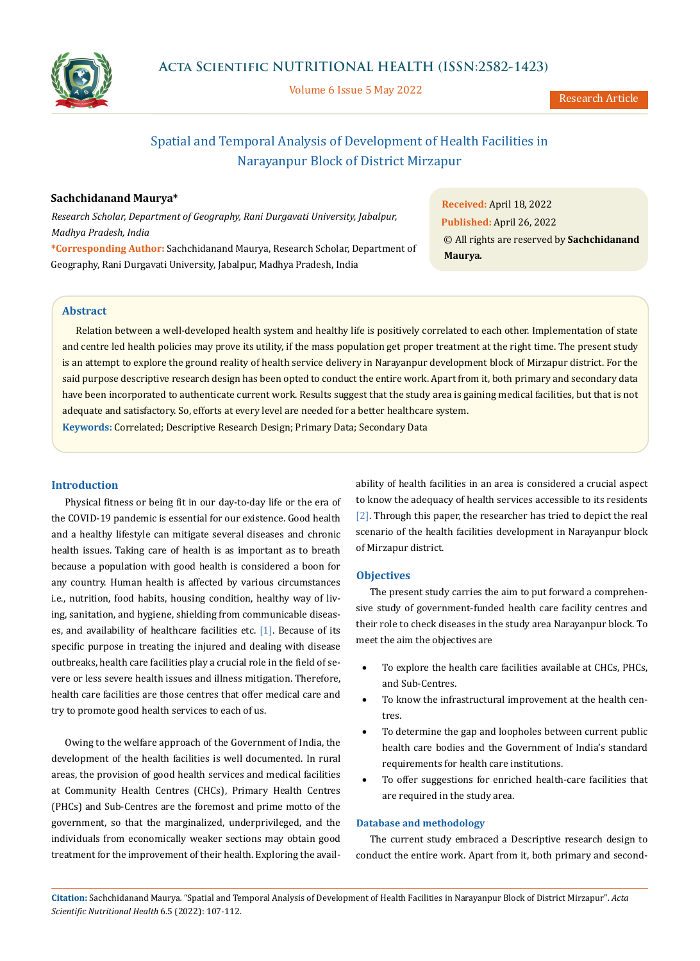

Volume 6 Issue 5 May 2022

Research Article

# Spatial and Temporal Analysis of Development of Health Facilities in Narayanpur Block of District Mirzapur

## **Sachchidanand Maurya\***

*Research Scholar, Department of Geography, Rani Durgavati University, Jabalpur, Madhya Pradesh, India* 

**\*Corresponding Author:** Sachchidanand Maurya, Research Scholar, Department of Geography, Rani Durgavati University, Jabalpur, Madhya Pradesh, India

**Received:** April 18, 2022 **Published:** April 26, 2022 © All rights are reserved by **Sachchidanand Maurya***.*

## **Abstract**

Relation between a well-developed health system and healthy life is positively correlated to each other. Implementation of state and centre led health policies may prove its utility, if the mass population get proper treatment at the right time. The present study is an attempt to explore the ground reality of health service delivery in Narayanpur development block of Mirzapur district. For the said purpose descriptive research design has been opted to conduct the entire work. Apart from it, both primary and secondary data have been incorporated to authenticate current work. Results suggest that the study area is gaining medical facilities, but that is not adequate and satisfactory. So, efforts at every level are needed for a better healthcare system.

**Keywords:** Correlated; Descriptive Research Design; Primary Data; Secondary Data

#### **Introduction**

Physical fitness or being fit in our day-to-day life or the era of the COVID-19 pandemic is essential for our existence. Good health and a healthy lifestyle can mitigate several diseases and chronic health issues. Taking care of health is as important as to breath because a population with good health is considered a boon for any country. Human health is affected by various circumstances i.e., nutrition, food habits, housing condition, healthy way of living, sanitation, and hygiene, shielding from communicable diseases, and availability of healthcare facilities etc. [1]. Because of its specific purpose in treating the injured and dealing with disease outbreaks, health care facilities play a crucial role in the field of severe or less severe health issues and illness mitigation. Therefore, health care facilities are those centres that offer medical care and try to promote good health services to each of us.

Owing to the welfare approach of the Government of India, the development of the health facilities is well documented. In rural areas, the provision of good health services and medical facilities at Community Health Centres (CHCs), Primary Health Centres (PHCs) and Sub-Centres are the foremost and prime motto of the government, so that the marginalized, underprivileged, and the individuals from economically weaker sections may obtain good treatment for the improvement of their health. Exploring the avail-

ability of health facilities in an area is considered a crucial aspect to know the adequacy of health services accessible to its residents [2]. Through this paper, the researcher has tried to depict the real scenario of the health facilities development in Narayanpur block of Mirzapur district.

#### **Objectives**

The present study carries the aim to put forward a comprehensive study of government-funded health care facility centres and their role to check diseases in the study area Narayanpur block. To meet the aim the objectives are

- To explore the health care facilities available at CHCs, PHCs, and Sub-Centres.
- To know the infrastructural improvement at the health centres.
- To determine the gap and loopholes between current public health care bodies and the Government of India's standard requirements for health care institutions.
- To offer suggestions for enriched health-care facilities that are required in the study area.

### **Database and methodology**

The current study embraced a Descriptive research design to conduct the entire work. Apart from it, both primary and second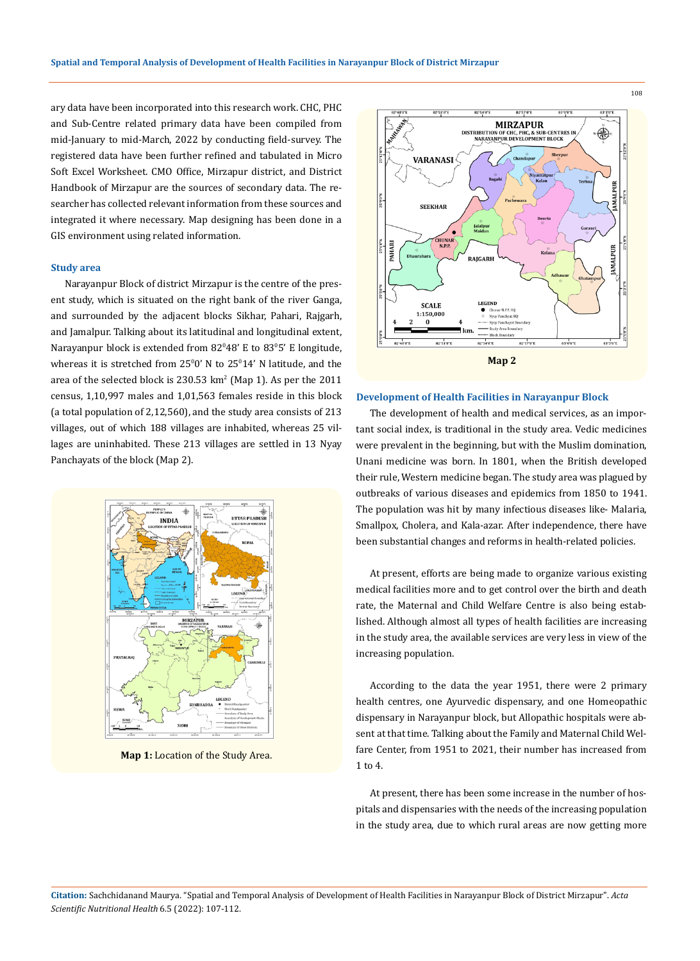ary data have been incorporated into this research work. CHC, PHC and Sub-Centre related primary data have been compiled from mid-January to mid-March, 2022 by conducting field-survey. The registered data have been further refined and tabulated in Micro Soft Excel Worksheet. CMO Office, Mirzapur district, and District Handbook of Mirzapur are the sources of secondary data. The researcher has collected relevant information from these sources and integrated it where necessary. Map designing has been done in a GIS environment using related information.

#### **Study area**

Narayanpur Block of district Mirzapur is the centre of the present study, which is situated on the right bank of the river Ganga, and surrounded by the adjacent blocks Sikhar, Pahari, Rajgarh, and Jamalpur. Talking about its latitudinal and longitudinal extent, Narayanpur block is extended from 82°48' E to 83°5' E longitude, whereas it is stretched from  $25^{\circ}0'$  N to  $25^{\circ}14'$  N latitude, and the area of the selected block is  $230.53 \text{ km}^2$  (Map 1). As per the  $2011$ census, 1,10,997 males and 1,01,563 females reside in this block (a total population of 2,12,560), and the study area consists of 213 villages, out of which 188 villages are inhabited, whereas 25 villages are uninhabited. These 213 villages are settled in 13 Nyay Panchayats of the block (Map 2).



**Map 1:** Location of the Study Area.



#### **Development of Health Facilities in Narayanpur Block**

The development of health and medical services, as an important social index, is traditional in the study area. Vedic medicines were prevalent in the beginning, but with the Muslim domination, Unani medicine was born. In 1801, when the British developed their rule, Western medicine began. The study area was plagued by outbreaks of various diseases and epidemics from 1850 to 1941. The population was hit by many infectious diseases like- Malaria, Smallpox, Cholera, and Kala-azar. After independence, there have been substantial changes and reforms in health-related policies.

At present, efforts are being made to organize various existing medical facilities more and to get control over the birth and death rate, the Maternal and Child Welfare Centre is also being established. Although almost all types of health facilities are increasing in the study area, the available services are very less in view of the increasing population.

According to the data the year 1951, there were 2 primary health centres, one Ayurvedic dispensary, and one Homeopathic dispensary in Narayanpur block, but Allopathic hospitals were absent at that time. Talking about the Family and Maternal Child Welfare Center, from 1951 to 2021, their number has increased from 1 to 4.

At present, there has been some increase in the number of hospitals and dispensaries with the needs of the increasing population in the study area, due to which rural areas are now getting more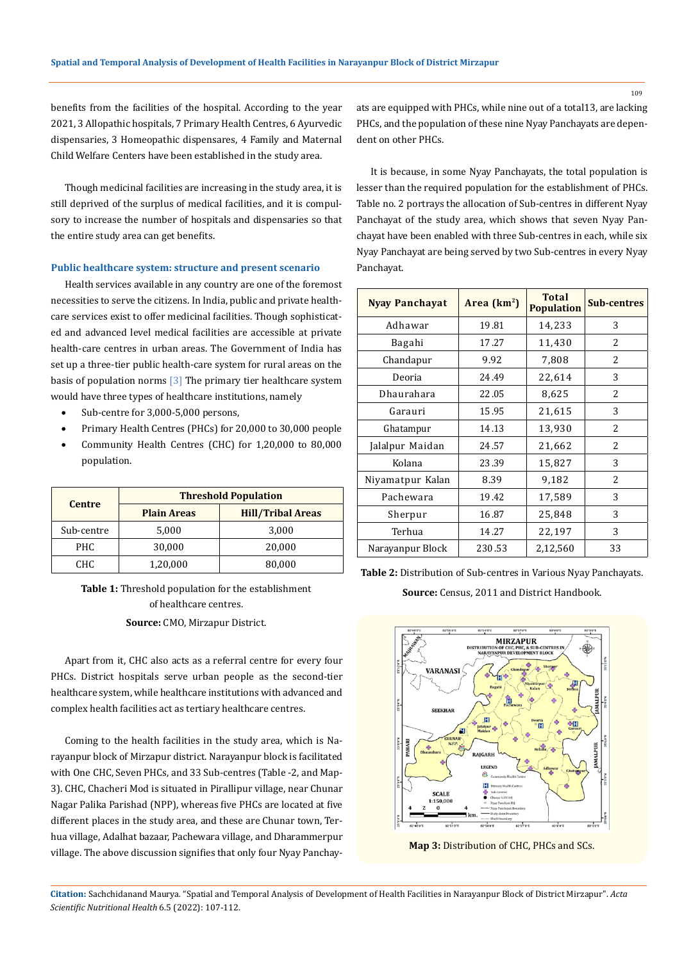benefits from the facilities of the hospital. According to the year 2021, 3 Allopathic hospitals, 7 Primary Health Centres, 6 Ayurvedic dispensaries, 3 Homeopathic dispensares, 4 Family and Maternal Child Welfare Centers have been established in the study area.

Though medicinal facilities are increasing in the study area, it is still deprived of the surplus of medical facilities, and it is compulsory to increase the number of hospitals and dispensaries so that the entire study area can get benefits.

#### **Public healthcare system: structure and present scenario**

Health services available in any country are one of the foremost necessities to serve the citizens. In India, public and private healthcare services exist to offer medicinal facilities. Though sophisticated and advanced level medical facilities are accessible at private health-care centres in urban areas. The Government of India has set up a three-tier public health-care system for rural areas on the basis of population norms [3] The primary tier healthcare system would have three types of healthcare institutions, namely

- Sub-centre for 3,000-5,000 persons,
- Primary Health Centres (PHCs) for 20,000 to 30,000 people
- Community Health Centres (CHC) for 1,20,000 to 80,000 population.

| <b>Centre</b> | <b>Threshold Population</b> |                          |  |  |
|---------------|-----------------------------|--------------------------|--|--|
|               | <b>Plain Areas</b>          | <b>Hill/Tribal Areas</b> |  |  |
| Sub-centre    | 5,000                       | 3,000                    |  |  |
| PHC.          | 30,000                      | 20,000                   |  |  |
| CHC.          | 1,20,000                    | 80,000                   |  |  |

**Table 1:** Threshold population for the establishment of healthcare centres.

**Source:** CMO, Mirzapur District.

Apart from it, CHC also acts as a referral centre for every four PHCs. District hospitals serve urban people as the second-tier healthcare system, while healthcare institutions with advanced and complex health facilities act as tertiary healthcare centres.

Coming to the health facilities in the study area, which is Narayanpur block of Mirzapur district. Narayanpur block is facilitated with One CHC, Seven PHCs, and 33 Sub-centres (Table -2, and Map-3). CHC, Chacheri Mod is situated in Pirallipur village, near Chunar Nagar Palika Parishad (NPP), whereas five PHCs are located at five different places in the study area, and these are Chunar town, Terhua village, Adalhat bazaar, Pachewara village, and Dharammerpur village. The above discussion signifies that only four Nyay Panchayats are equipped with PHCs, while nine out of a total13, are lacking PHCs, and the population of these nine Nyay Panchayats are dependent on other PHCs.

It is because, in some Nyay Panchayats, the total population is lesser than the required population for the establishment of PHCs. Table no. 2 portrays the allocation of Sub-centres in different Nyay Panchayat of the study area, which shows that seven Nyay Panchayat have been enabled with three Sub-centres in each, while six Nyay Panchayat are being served by two Sub-centres in every Nyay Panchayat.

| <b>Nyay Panchayat</b> | Area $(km2)$ | Total<br><b>Population</b> | <b>Sub-centres</b> |  |
|-----------------------|--------------|----------------------------|--------------------|--|
| Adhawar               | 19.81        | 14,233                     | 3                  |  |
| Bagahi                | 17.27        | 11,430                     | 2                  |  |
| Chandapur             | 9.92         | 7,808                      | 2                  |  |
| Deoria                | 24.49        | 22,614                     | 3                  |  |
| Dhaurahara            | 22.05        | 8.625                      | $\mathcal{L}$      |  |
| Garauri               | 15.95        | 21,615                     | 3                  |  |
| Ghatampur             | 14.13        | 13,930                     | 2                  |  |
| Jalalpur Maidan       | 24.57        | 21,662                     | $\overline{c}$     |  |
| Kolana                | 23.39        | 15,827                     | 3                  |  |
| Niyamatpur Kalan      | 8.39         | 9,182                      | 2                  |  |
| Pachewara             | 19.42        | 17,589                     | 3                  |  |
| Sherpur               | 16.87        | 25,848                     | 3                  |  |
| Terhua                | 14.27        | 22,197                     | 3                  |  |
| Narayanpur Block      | 230.53       | 2,12,560                   | 33                 |  |





**Map 3:** Distribution of CHC, PHCs and SCs.

**Citation:** Sachchidanand Maurya*.* "Spatial and Temporal Analysis of Development of Health Facilities in Narayanpur Block of District Mirzapur". *Acta Scientific Nutritional Health* 6.5 (2022): 107-112.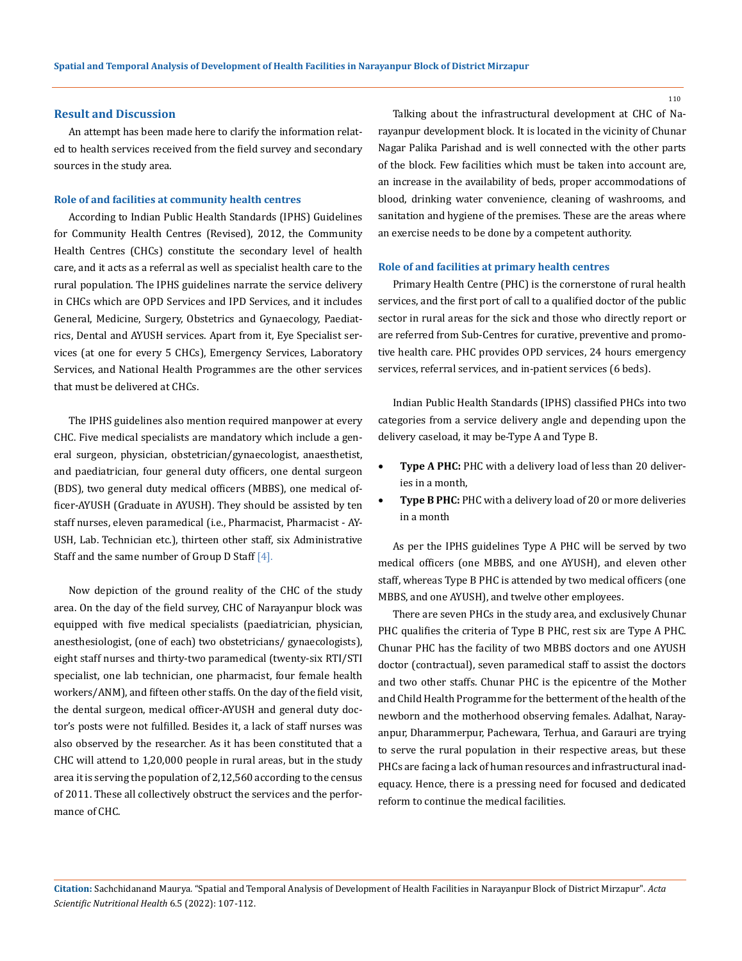#### **Result and Discussion**

An attempt has been made here to clarify the information related to health services received from the field survey and secondary sources in the study area.

#### **Role of and facilities at community health centres**

According to Indian Public Health Standards (IPHS) Guidelines for Community Health Centres (Revised), 2012, the Community Health Centres (CHCs) constitute the secondary level of health care, and it acts as a referral as well as specialist health care to the rural population. The IPHS guidelines narrate the service delivery in CHCs which are OPD Services and IPD Services, and it includes General, Medicine, Surgery, Obstetrics and Gynaecology, Paediatrics, Dental and AYUSH services. Apart from it, Eye Specialist services (at one for every 5 CHCs), Emergency Services, Laboratory Services, and National Health Programmes are the other services that must be delivered at CHCs.

The IPHS guidelines also mention required manpower at every CHC. Five medical specialists are mandatory which include a general surgeon, physician, obstetrician/gynaecologist, anaesthetist, and paediatrician, four general duty officers, one dental surgeon (BDS), two general duty medical officers (MBBS), one medical officer-AYUSH (Graduate in AYUSH). They should be assisted by ten staff nurses, eleven paramedical (i.e., Pharmacist, Pharmacist - AY-USH, Lab. Technician etc.), thirteen other staff, six Administrative Staff and the same number of Group D Staff  $[4]$ .

Now depiction of the ground reality of the CHC of the study area. On the day of the field survey, CHC of Narayanpur block was equipped with five medical specialists (paediatrician, physician, anesthesiologist, (one of each) two obstetricians/ gynaecologists), eight staff nurses and thirty-two paramedical (twenty-six RTI/STI specialist, one lab technician, one pharmacist, four female health workers/ANM), and fifteen other staffs. On the day of the field visit, the dental surgeon, medical officer-AYUSH and general duty doctor's posts were not fulfilled. Besides it, a lack of staff nurses was also observed by the researcher. As it has been constituted that a CHC will attend to 1,20,000 people in rural areas, but in the study area it is serving the population of 2,12,560 according to the census of 2011. These all collectively obstruct the services and the performance of CHC.

Talking about the infrastructural development at CHC of Narayanpur development block. It is located in the vicinity of Chunar Nagar Palika Parishad and is well connected with the other parts of the block. Few facilities which must be taken into account are, an increase in the availability of beds, proper accommodations of blood, drinking water convenience, cleaning of washrooms, and sanitation and hygiene of the premises. These are the areas where an exercise needs to be done by a competent authority.

#### **Role of and facilities at primary health centres**

Primary Health Centre (PHC) is the cornerstone of rural health services, and the first port of call to a qualified doctor of the public sector in rural areas for the sick and those who directly report or are referred from Sub-Centres for curative, preventive and promotive health care. PHC provides OPD services, 24 hours emergency services, referral services, and in-patient services (6 beds).

Indian Public Health Standards (IPHS) classified PHCs into two categories from a service delivery angle and depending upon the delivery caseload, it may be-Type A and Type B.

- Type A PHC: PHC with a delivery load of less than 20 deliveries in a month,
- **Type B PHC:** PHC with a delivery load of 20 or more deliveries in a month

As per the IPHS guidelines Type A PHC will be served by two medical officers (one MBBS, and one AYUSH), and eleven other staff, whereas Type B PHC is attended by two medical officers (one MBBS, and one AYUSH), and twelve other employees.

There are seven PHCs in the study area, and exclusively Chunar PHC qualifies the criteria of Type B PHC, rest six are Type A PHC. Chunar PHC has the facility of two MBBS doctors and one AYUSH doctor (contractual), seven paramedical staff to assist the doctors and two other staffs. Chunar PHC is the epicentre of the Mother and Child Health Programme for the betterment of the health of the newborn and the motherhood observing females. Adalhat, Narayanpur, Dharammerpur, Pachewara, Terhua, and Garauri are trying to serve the rural population in their respective areas, but these PHCs are facing a lack of human resources and infrastructural inadequacy. Hence, there is a pressing need for focused and dedicated reform to continue the medical facilities.

**Citation:** Sachchidanand Maurya*.* "Spatial and Temporal Analysis of Development of Health Facilities in Narayanpur Block of District Mirzapur". *Acta Scientific Nutritional Health* 6.5 (2022): 107-112.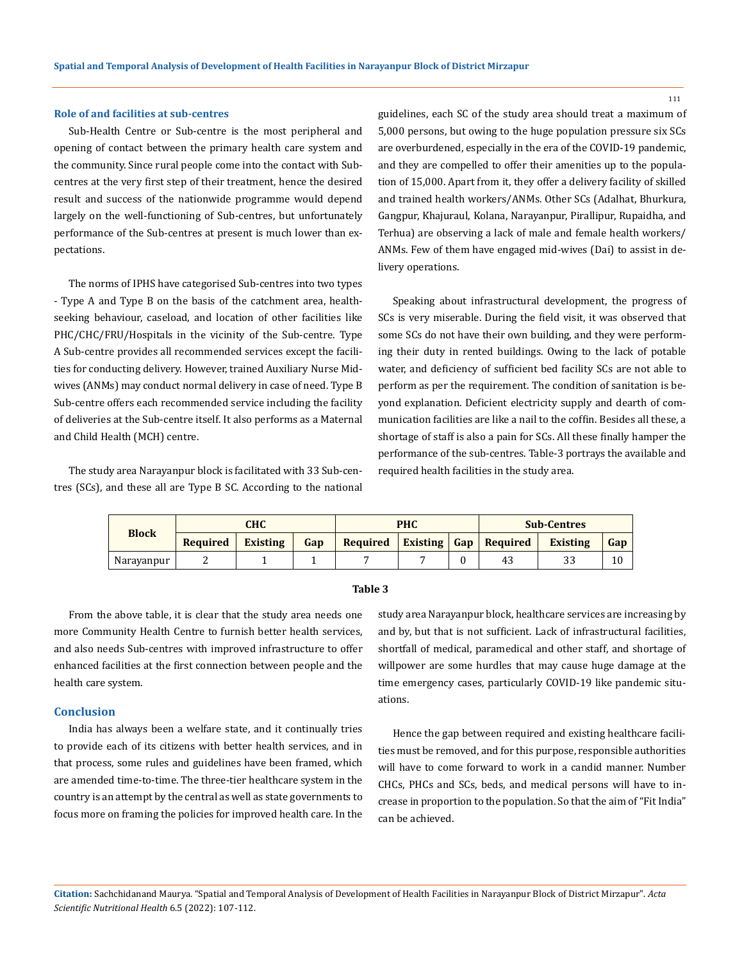#### **Role of and facilities at sub-centres**

Sub-Health Centre or Sub-centre is the most peripheral and opening of contact between the primary health care system and the community. Since rural people come into the contact with Subcentres at the very first step of their treatment, hence the desired result and success of the nationwide programme would depend largely on the well-functioning of Sub-centres, but unfortunately performance of the Sub-centres at present is much lower than expectations.

The norms of IPHS have categorised Sub-centres into two types - Type A and Type B on the basis of the catchment area, healthseeking behaviour, caseload, and location of other facilities like PHC/CHC/FRU/Hospitals in the vicinity of the Sub-centre. Type A Sub-centre provides all recommended services except the facilities for conducting delivery. However, trained Auxiliary Nurse Midwives (ANMs) may conduct normal delivery in case of need. Type B Sub-centre offers each recommended service including the facility of deliveries at the Sub-centre itself. It also performs as a Maternal and Child Health (MCH) centre.

The study area Narayanpur block is facilitated with 33 Sub-centres (SCs), and these all are Type B SC. According to the national guidelines, each SC of the study area should treat a maximum of 5,000 persons, but owing to the huge population pressure six SCs are overburdened, especially in the era of the COVID-19 pandemic, and they are compelled to offer their amenities up to the population of 15,000. Apart from it, they offer a delivery facility of skilled and trained health workers/ANMs. Other SCs (Adalhat, Bhurkura, Gangpur, Khajuraul, Kolana, Narayanpur, Pirallipur, Rupaidha, and Terhua) are observing a lack of male and female health workers/ ANMs. Few of them have engaged mid-wives (Dai) to assist in delivery operations.

Speaking about infrastructural development, the progress of SCs is very miserable. During the field visit, it was observed that some SCs do not have their own building, and they were performing their duty in rented buildings. Owing to the lack of potable water, and deficiency of sufficient bed facility SCs are not able to perform as per the requirement. The condition of sanitation is beyond explanation. Deficient electricity supply and dearth of communication facilities are like a nail to the coffin. Besides all these, a shortage of staff is also a pain for SCs. All these finally hamper the performance of the sub-centres. Table-3 portrays the available and required health facilities in the study area.

| <b>Block</b> | снс      |          | <b>PHC</b> |          | <b>Sub-Centres</b> |  |                              |          |     |
|--------------|----------|----------|------------|----------|--------------------|--|------------------------------|----------|-----|
|              | Required | Existing | Gap        | Required |                    |  | <b>Existing Gap Required</b> | Existing | Gap |
| Narayanpur   |          |          |            |          |                    |  | 43                           | 33       | 10  |

#### **Table 3**

From the above table, it is clear that the study area needs one more Community Health Centre to furnish better health services, and also needs Sub-centres with improved infrastructure to offer enhanced facilities at the first connection between people and the health care system.

#### **Conclusion**

India has always been a welfare state, and it continually tries to provide each of its citizens with better health services, and in that process, some rules and guidelines have been framed, which are amended time-to-time. The three-tier healthcare system in the country is an attempt by the central as well as state governments to focus more on framing the policies for improved health care. In the study area Narayanpur block, healthcare services are increasing by and by, but that is not sufficient. Lack of infrastructural facilities, shortfall of medical, paramedical and other staff, and shortage of willpower are some hurdles that may cause huge damage at the time emergency cases, particularly COVID-19 like pandemic situations.

Hence the gap between required and existing healthcare facilities must be removed, and for this purpose, responsible authorities will have to come forward to work in a candid manner. Number CHCs, PHCs and SCs, beds, and medical persons will have to increase in proportion to the population. So that the aim of "Fit India" can be achieved.

**Citation:** Sachchidanand Maurya*.* "Spatial and Temporal Analysis of Development of Health Facilities in Narayanpur Block of District Mirzapur". *Acta Scientific Nutritional Health* 6.5 (2022): 107-112.